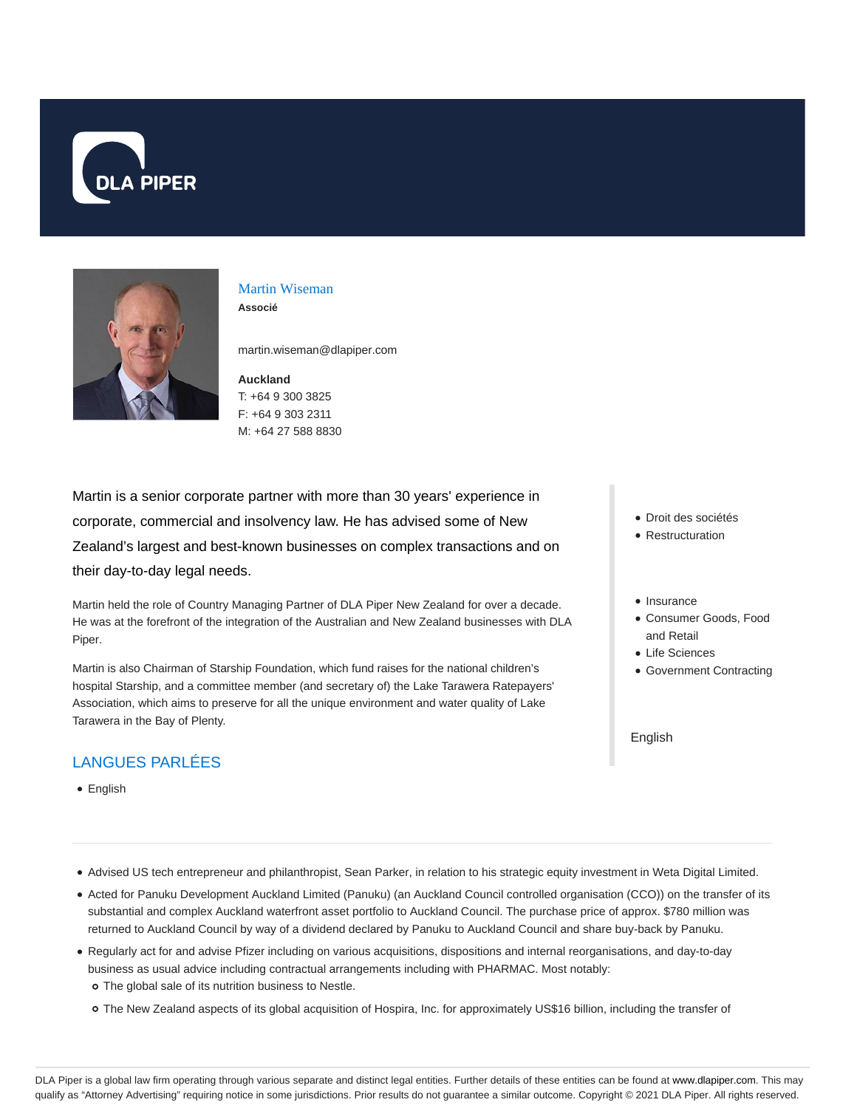



#### Martin Wiseman **Associé**

martin.wiseman@dlapiper.com

**Auckland** T: +64 9 300 3825 F: +64 9 303 2311 M: +64 27 588 8830

Martin is a senior corporate partner with more than 30 years' experience in corporate, commercial and insolvency law. He has advised some of New Zealand's largest and best-known businesses on complex transactions and on their day-to-day legal needs.

Martin held the role of Country Managing Partner of DLA Piper New Zealand for over a decade. He was at the forefront of the integration of the Australian and New Zealand businesses with DLA Piper.

Martin is also Chairman of Starship Foundation, which fund raises for the national children's hospital Starship, and a committee member (and secretary of) the Lake Tarawera Ratepayers' Association, which aims to preserve for all the unique environment and water quality of Lake Tarawera in the Bay of Plenty.

# LANGUES PARLÉES

English

- Droit des sociétés
- Restructuration
- Insurance
- Consumer Goods, Food and Retail
- Life Sciences
- Government Contracting

English

- Advised US tech entrepreneur and philanthropist, Sean Parker, in relation to his strategic equity investment in Weta Digital Limited.
- Acted for Panuku Development Auckland Limited (Panuku) (an Auckland Council controlled organisation (CCO)) on the transfer of its substantial and complex Auckland waterfront asset portfolio to Auckland Council. The purchase price of approx. \$780 million was returned to Auckland Council by way of a dividend declared by Panuku to Auckland Council and share buy-back by Panuku.
- Regularly act for and advise Pfizer including on various acquisitions, dispositions and internal reorganisations, and day-to-day business as usual advice including contractual arrangements including with PHARMAC. Most notably: The global sale of its nutrition business to Nestle.
	- The New Zealand aspects of its global acquisition of Hospira, Inc. for approximately US\$16 billion, including the transfer of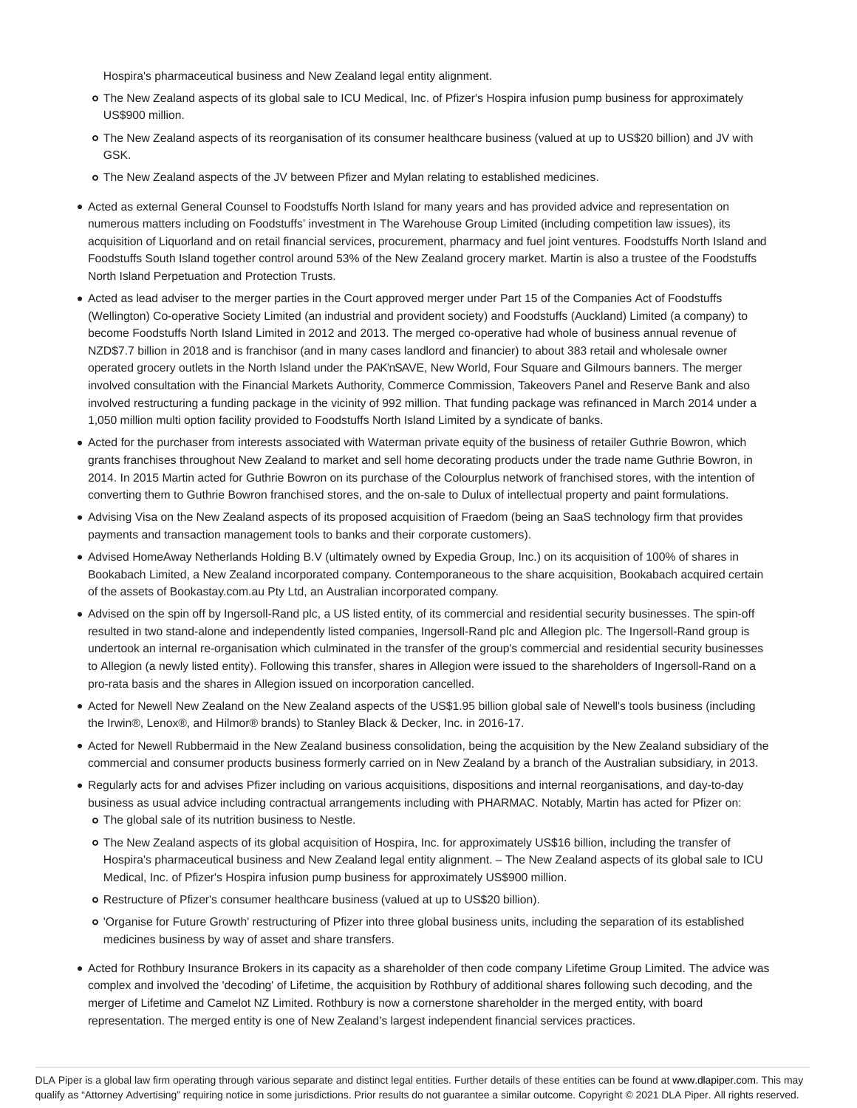Hospira's pharmaceutical business and New Zealand legal entity alignment.

- The New Zealand aspects of its global sale to ICU Medical, Inc. of Pfizer's Hospira infusion pump business for approximately US\$900 million.
- The New Zealand aspects of its reorganisation of its consumer healthcare business (valued at up to US\$20 billion) and JV with GSK.
- The New Zealand aspects of the JV between Pfizer and Mylan relating to established medicines.
- Acted as external General Counsel to Foodstuffs North Island for many years and has provided advice and representation on numerous matters including on Foodstuffs' investment in The Warehouse Group Limited (including competition law issues), its acquisition of Liquorland and on retail financial services, procurement, pharmacy and fuel joint ventures. Foodstuffs North Island and Foodstuffs South Island together control around 53% of the New Zealand grocery market. Martin is also a trustee of the Foodstuffs North Island Perpetuation and Protection Trusts.
- Acted as lead adviser to the merger parties in the Court approved merger under Part 15 of the Companies Act of Foodstuffs (Wellington) Co-operative Society Limited (an industrial and provident society) and Foodstuffs (Auckland) Limited (a company) to become Foodstuffs North Island Limited in 2012 and 2013. The merged co-operative had whole of business annual revenue of NZD\$7.7 billion in 2018 and is franchisor (and in many cases landlord and financier) to about 383 retail and wholesale owner operated grocery outlets in the North Island under the PAK'nSAVE, New World, Four Square and Gilmours banners. The merger involved consultation with the Financial Markets Authority, Commerce Commission, Takeovers Panel and Reserve Bank and also involved restructuring a funding package in the vicinity of 992 million. That funding package was refinanced in March 2014 under a 1,050 million multi option facility provided to Foodstuffs North Island Limited by a syndicate of banks.
- Acted for the purchaser from interests associated with Waterman private equity of the business of retailer Guthrie Bowron, which grants franchises throughout New Zealand to market and sell home decorating products under the trade name Guthrie Bowron, in 2014. In 2015 Martin acted for Guthrie Bowron on its purchase of the Colourplus network of franchised stores, with the intention of converting them to Guthrie Bowron franchised stores, and the on-sale to Dulux of intellectual property and paint formulations.
- Advising Visa on the New Zealand aspects of its proposed acquisition of Fraedom (being an SaaS technology firm that provides payments and transaction management tools to banks and their corporate customers).
- Advised HomeAway Netherlands Holding B.V (ultimately owned by Expedia Group, Inc.) on its acquisition of 100% of shares in Bookabach Limited, a New Zealand incorporated company. Contemporaneous to the share acquisition, Bookabach acquired certain of the assets of Bookastay.com.au Pty Ltd, an Australian incorporated company.
- Advised on the spin off by Ingersoll-Rand plc, a US listed entity, of its commercial and residential security businesses. The spin-off resulted in two stand-alone and independently listed companies, Ingersoll-Rand plc and Allegion plc. The Ingersoll-Rand group is undertook an internal re-organisation which culminated in the transfer of the group's commercial and residential security businesses to Allegion (a newly listed entity). Following this transfer, shares in Allegion were issued to the shareholders of Ingersoll-Rand on a pro-rata basis and the shares in Allegion issued on incorporation cancelled.
- Acted for Newell New Zealand on the New Zealand aspects of the US\$1.95 billion global sale of Newell's tools business (including the Irwin®, Lenox®, and Hilmor® brands) to Stanley Black & Decker, Inc. in 2016-17.
- Acted for Newell Rubbermaid in the New Zealand business consolidation, being the acquisition by the New Zealand subsidiary of the commercial and consumer products business formerly carried on in New Zealand by a branch of the Australian subsidiary, in 2013.
- Regularly acts for and advises Pfizer including on various acquisitions, dispositions and internal reorganisations, and day-to-day business as usual advice including contractual arrangements including with PHARMAC. Notably, Martin has acted for Pfizer on: The global sale of its nutrition business to Nestle.
	- The New Zealand aspects of its global acquisition of Hospira, Inc. for approximately US\$16 billion, including the transfer of Hospira's pharmaceutical business and New Zealand legal entity alignment. – The New Zealand aspects of its global sale to ICU Medical, Inc. of Pfizer's Hospira infusion pump business for approximately US\$900 million.
	- Restructure of Pfizer's consumer healthcare business (valued at up to US\$20 billion).
	- 'Organise for Future Growth' restructuring of Pfizer into three global business units, including the separation of its established medicines business by way of asset and share transfers.
- Acted for Rothbury Insurance Brokers in its capacity as a shareholder of then code company Lifetime Group Limited. The advice was complex and involved the 'decoding' of Lifetime, the acquisition by Rothbury of additional shares following such decoding, and the merger of Lifetime and Camelot NZ Limited. Rothbury is now a cornerstone shareholder in the merged entity, with board representation. The merged entity is one of New Zealand's largest independent financial services practices.